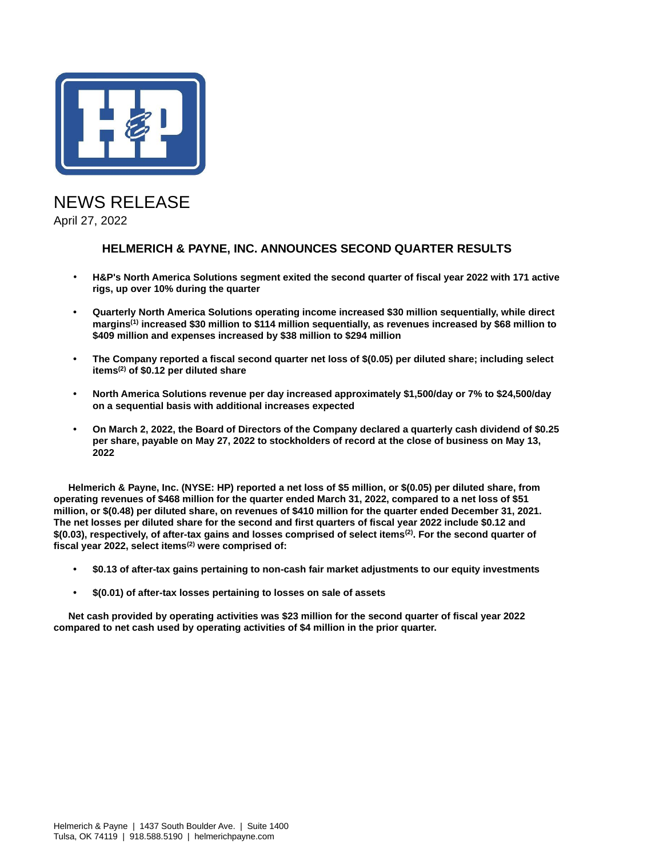

## NEWS RELEASE April 27, 2022

## **HELMERICH & PAYNE, INC. ANNOUNCES SECOND QUARTER RESULTS**

- **H&P's North America Solutions segment exited the second quarter of fiscal year 2022 with 171 active rigs, up over 10% during the quarter**
- **• Quarterly North America Solutions operating income increased \$30 million sequentially, while direct margins(1) increased \$30 million to \$114 million sequentially, as revenues increased by \$68 million to \$409 million and expenses increased by \$38 million to \$294 million**
- **• The Company reported a fiscal second quarter net loss of \$(0.05) per diluted share; including select items(2) of \$0.12 per diluted share**
- **• North America Solutions revenue per day increased approximately \$1,500/day or 7% to \$24,500/day on a sequential basis with additional increases expected**
- **• On March 2, 2022, the Board of Directors of the Company declared a quarterly cash dividend of \$0.25 per share, payable on May 27, 2022 to stockholders of record at the close of business on May 13, 2022**

**Helmerich & Payne, Inc. (NYSE: HP) reported a net loss of \$5 million, or \$(0.05) per diluted share, from operating revenues of \$468 million for the quarter ended March 31, 2022, compared to a net loss of \$51 million, or \$(0.48) per diluted share, on revenues of \$410 million for the quarter ended December 31, 2021. The net losses per diluted share for the second and first quarters of fiscal year 2022 include \$0.12 and \$(0.03), respectively, of after-tax gains and losses comprised of select items(2). For the second quarter of fiscal year 2022, select items(2) were comprised of:**

- **• \$0.13 of after-tax gains pertaining to non-cash fair market adjustments to our equity investments**
- **• \$(0.01) of after-tax losses pertaining to losses on sale of assets**

**Net cash provided by operating activities was \$23 million for the second quarter of fiscal year 2022 compared to net cash used by operating activities of \$4 million in the prior quarter.**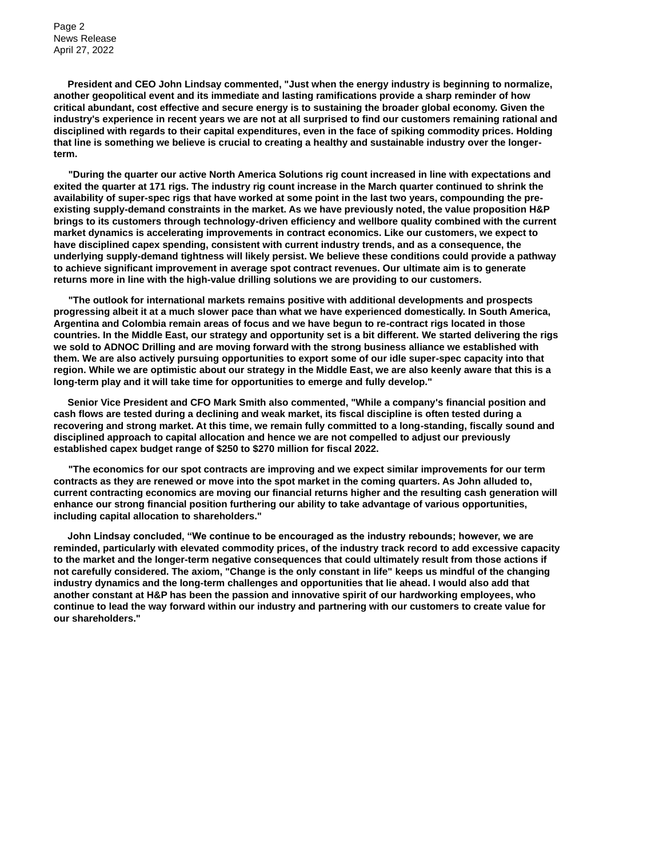Page 2 News Release April 27, 2022

**President and CEO John Lindsay commented, "Just when the energy industry is beginning to normalize, another geopolitical event and its immediate and lasting ramifications provide a sharp reminder of how critical abundant, cost effective and secure energy is to sustaining the broader global economy. Given the industry's experience in recent years we are not at all surprised to find our customers remaining rational and disciplined with regards to their capital expenditures, even in the face of spiking commodity prices. Holding that line is something we believe is crucial to creating a healthy and sustainable industry over the longerterm.**

**"During the quarter our active North America Solutions rig count increased in line with expectations and exited the quarter at 171 rigs. The industry rig count increase in the March quarter continued to shrink the availability of super-spec rigs that have worked at some point in the last two years, compounding the preexisting supply-demand constraints in the market. As we have previously noted, the value proposition H&P brings to its customers through technology-driven efficiency and wellbore quality combined with the current market dynamics is accelerating improvements in contract economics. Like our customers, we expect to have disciplined capex spending, consistent with current industry trends, and as a consequence, the underlying supply-demand tightness will likely persist. We believe these conditions could provide a pathway to achieve significant improvement in average spot contract revenues. Our ultimate aim is to generate returns more in line with the high-value drilling solutions we are providing to our customers.**

**"The outlook for international markets remains positive with additional developments and prospects progressing albeit it at a much slower pace than what we have experienced domestically. In South America, Argentina and Colombia remain areas of focus and we have begun to re-contract rigs located in those countries. In the Middle East, our strategy and opportunity set is a bit different. We started delivering the rigs we sold to ADNOC Drilling and are moving forward with the strong business alliance we established with them. We are also actively pursuing opportunities to export some of our idle super-spec capacity into that region. While we are optimistic about our strategy in the Middle East, we are also keenly aware that this is a long-term play and it will take time for opportunities to emerge and fully develop."** 

**Senior Vice President and CFO Mark Smith also commented, "While a company's financial position and cash flows are tested during a declining and weak market, its fiscal discipline is often tested during a recovering and strong market. At this time, we remain fully committed to a long-standing, fiscally sound and disciplined approach to capital allocation and hence we are not compelled to adjust our previously established capex budget range of \$250 to \$270 million for fiscal 2022.**

**"The economics for our spot contracts are improving and we expect similar improvements for our term contracts as they are renewed or move into the spot market in the coming quarters. As John alluded to, current contracting economics are moving our financial returns higher and the resulting cash generation will enhance our strong financial position furthering our ability to take advantage of various opportunities, including capital allocation to shareholders."**

**John Lindsay concluded, "We continue to be encouraged as the industry rebounds; however, we are reminded, particularly with elevated commodity prices, of the industry track record to add excessive capacity to the market and the longer-term negative consequences that could ultimately result from those actions if not carefully considered. The axiom, "Change is the only constant in life" keeps us mindful of the changing industry dynamics and the long-term challenges and opportunities that lie ahead. I would also add that another constant at H&P has been the passion and innovative spirit of our hardworking employees, who continue to lead the way forward within our industry and partnering with our customers to create value for our shareholders."**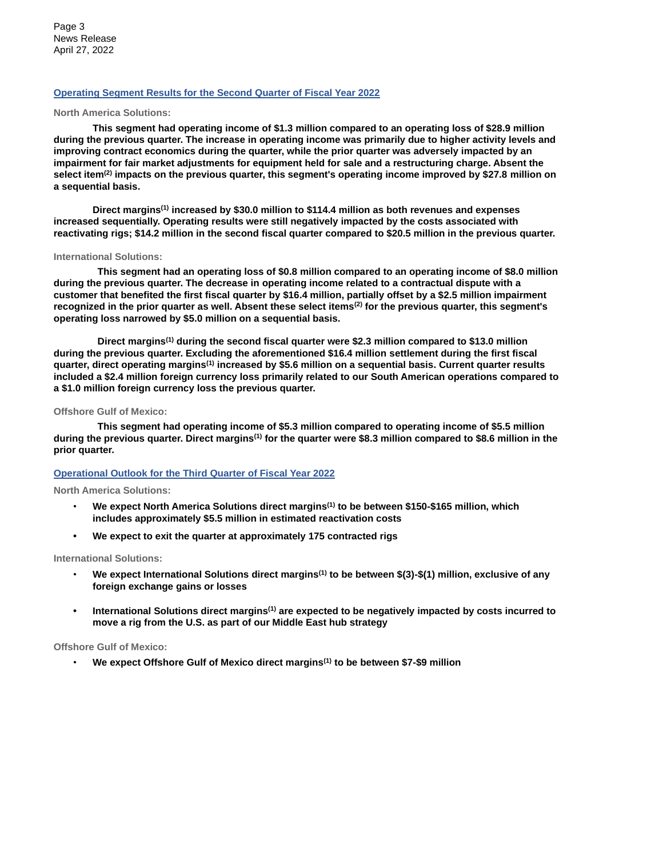Page 3 News Release April 27, 2022

### **Operating Segment Results for the Second Quarter of Fiscal Year 2022**

#### **North America Solutions:**

**This segment had operating income of \$1.3 million compared to an operating loss of \$28.9 million during the previous quarter. The increase in operating income was primarily due to higher activity levels and improving contract economics during the quarter, while the prior quarter was adversely impacted by an impairment for fair market adjustments for equipment held for sale and a restructuring charge. Absent the select item(2) impacts on the previous quarter, this segment's operating income improved by \$27.8 million on a sequential basis.**

**Direct margins(1) increased by \$30.0 million to \$114.4 million as both revenues and expenses increased sequentially. Operating results were still negatively impacted by the costs associated with reactivating rigs; \$14.2 million in the second fiscal quarter compared to \$20.5 million in the previous quarter.** 

#### **International Solutions:**

**This segment had an operating loss of \$0.8 million compared to an operating income of \$8.0 million during the previous quarter. The decrease in operating income related to a contractual dispute with a customer that benefited the first fiscal quarter by \$16.4 million, partially offset by a \$2.5 million impairment recognized in the prior quarter as well. Absent these select items(2) for the previous quarter, this segment's operating loss narrowed by \$5.0 million on a sequential basis.** 

**Direct margins(1) during the second fiscal quarter were \$2.3 million compared to \$13.0 million during the previous quarter. Excluding the aforementioned \$16.4 million settlement during the first fiscal quarter, direct operating margins(1) increased by \$5.6 million on a sequential basis. Current quarter results included a \$2.4 million foreign currency loss primarily related to our South American operations compared to a \$1.0 million foreign currency loss the previous quarter.**

### **Offshore Gulf of Mexico:**

**This segment had operating income of \$5.3 million compared to operating income of \$5.5 million during the previous quarter. Direct margins(1) for the quarter were \$8.3 million compared to \$8.6 million in the prior quarter.**

### **Operational Outlook for the Third Quarter of Fiscal Year 2022**

### **North America Solutions:**

- **We expect North America Solutions direct margins(1) to be between \$150-\$165 million, which includes approximately \$5.5 million in estimated reactivation costs**
- **• We expect to exit the quarter at approximately 175 contracted rigs**

### **International Solutions:**

- **We expect International Solutions direct margins(1) to be between \$(3)-\$(1) million, exclusive of any foreign exchange gains or losses**
- **• International Solutions direct margins(1) are expected to be negatively impacted by costs incurred to move a rig from the U.S. as part of our Middle East hub strategy**

### **Offshore Gulf of Mexico:**

• **We expect Offshore Gulf of Mexico direct margins(1) to be between \$7-\$9 million**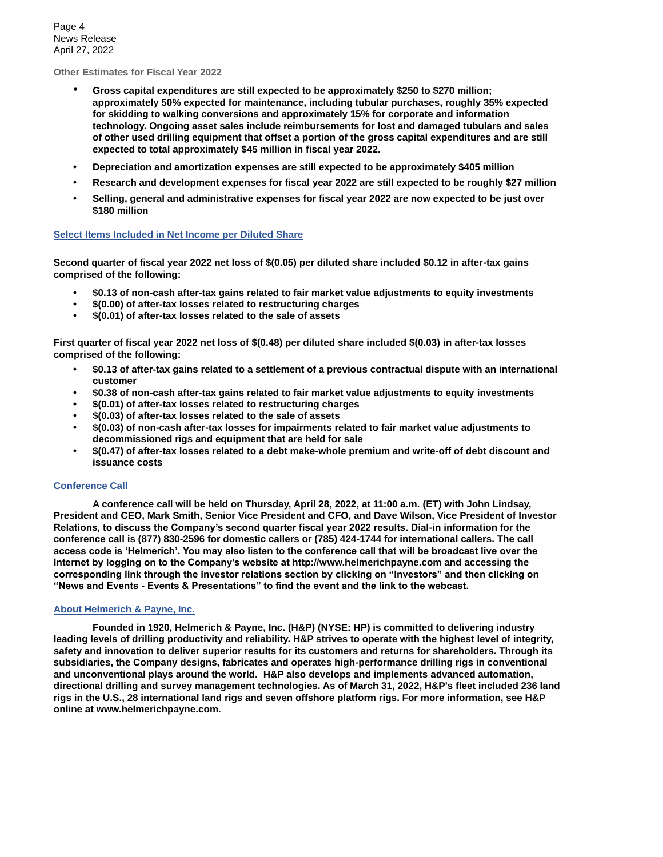Page 4 News Release April 27, 2022

**Other Estimates for Fiscal Year 2022**

- **Gross capital expenditures are still expected to be approximately \$250 to \$270 million; approximately 50% expected for maintenance, including tubular purchases, roughly 35% expected for skidding to walking conversions and approximately 15% for corporate and information technology. Ongoing asset sales include reimbursements for lost and damaged tubulars and sales of other used drilling equipment that offset a portion of the gross capital expenditures and are still expected to total approximately \$45 million in fiscal year 2022.**
- **• Depreciation and amortization expenses are still expected to be approximately \$405 million**
- **• Research and development expenses for fiscal year 2022 are still expected to be roughly \$27 million**
- **• Selling, general and administrative expenses for fiscal year 2022 are now expected to be just over \$180 million**

### **Select Items Included in Net Income per Diluted Share**

**Second quarter of fiscal year 2022 net loss of \$(0.05) per diluted share included \$0.12 in after-tax gains comprised of the following:**

- **• \$0.13 of non-cash after-tax gains related to fair market value adjustments to equity investments**
- **• \$(0.00) of after-tax losses related to restructuring charges**
- **• \$(0.01) of after-tax losses related to the sale of assets**

**First quarter of fiscal year 2022 net loss of \$(0.48) per diluted share included \$(0.03) in after-tax losses comprised of the following:**

- **• \$0.13 of after-tax gains related to a settlement of a previous contractual dispute with an international customer**
- **• \$0.38 of non-cash after-tax gains related to fair market value adjustments to equity investments**
- **• \$(0.01) of after-tax losses related to restructuring charges**
- **• \$(0.03) of after-tax losses related to the sale of assets**
- **• \$(0.03) of non-cash after-tax losses for impairments related to fair market value adjustments to decommissioned rigs and equipment that are held for sale**
- **• \$(0.47) of after-tax losses related to a debt make-whole premium and write-off of debt discount and issuance costs**

### **Conference Call**

**A conference call will be held on Thursday, April 28, 2022, at 11:00 a.m. (ET) with John Lindsay, President and CEO, Mark Smith, Senior Vice President and CFO, and Dave Wilson, Vice President of Investor Relations, to discuss the Company's second quarter fiscal year 2022 results. Dial-in information for the conference call is (877) 830-2596 for domestic callers or (785) 424-1744 for international callers. The call access code is 'Helmerich'. You may also listen to the conference call that will be broadcast live over the internet by logging on to the Company's website at http://www.helmerichpayne.com and accessing the corresponding link through the investor relations section by clicking on "Investors" and then clicking on "News and Events - Events & Presentations" to find the event and the link to the webcast.**

### **About Helmerich & Payne, Inc.**

**Founded in 1920, Helmerich & Payne, Inc. (H&P) (NYSE: HP) is committed to delivering industry leading levels of drilling productivity and reliability. H&P strives to operate with the highest level of integrity, safety and innovation to deliver superior results for its customers and returns for shareholders. Through its subsidiaries, the Company designs, fabricates and operates high-performance drilling rigs in conventional and unconventional plays around the world. H&P also develops and implements advanced automation, directional drilling and survey management technologies. As of March 31, 2022, H&P's fleet included 236 land rigs in the U.S., 28 international land rigs and seven offshore platform rigs. For more information, see H&P online at www.helmerichpayne.com.**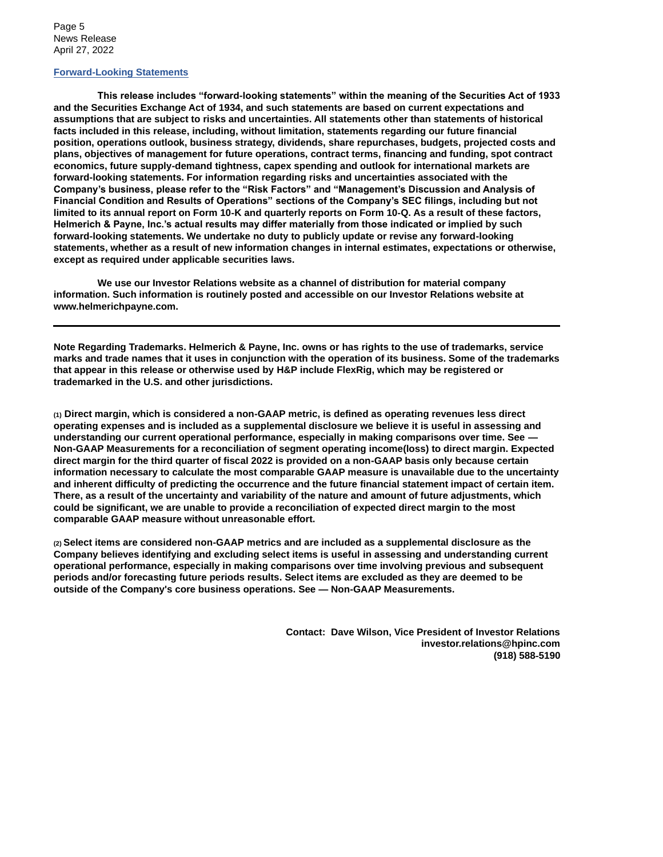Page 5 News Release April 27, 2022

### **Forward-Looking Statements**

**This release includes "forward-looking statements" within the meaning of the Securities Act of 1933 and the Securities Exchange Act of 1934, and such statements are based on current expectations and assumptions that are subject to risks and uncertainties. All statements other than statements of historical facts included in this release, including, without limitation, statements regarding our future financial position, operations outlook, business strategy, dividends, share repurchases, budgets, projected costs and plans, objectives of management for future operations, contract terms, financing and funding, spot contract economics, future supply-demand tightness, capex spending and outlook for international markets are forward-looking statements. For information regarding risks and uncertainties associated with the Company's business, please refer to the "Risk Factors" and "Management's Discussion and Analysis of Financial Condition and Results of Operations" sections of the Company's SEC filings, including but not limited to its annual report on Form 10**‑**K and quarterly reports on Form 10**‑**Q. As a result of these factors, Helmerich & Payne, Inc.'s actual results may differ materially from those indicated or implied by such forward-looking statements. We undertake no duty to publicly update or revise any forward-looking statements, whether as a result of new information changes in internal estimates, expectations or otherwise, except as required under applicable securities laws.**

**We use our Investor Relations website as a channel of distribution for material company information. Such information is routinely posted and accessible on our Investor Relations website at www.helmerichpayne.com.** 

**Note Regarding Trademarks. Helmerich & Payne, Inc. owns or has rights to the use of trademarks, service marks and trade names that it uses in conjunction with the operation of its business. Some of the trademarks that appear in this release or otherwise used by H&P include FlexRig, which may be registered or trademarked in the U.S. and other jurisdictions.**

**(1) Direct margin, which is considered a non-GAAP metric, is defined as operating revenues less direct operating expenses and is included as a supplemental disclosure we believe it is useful in assessing and understanding our current operational performance, especially in making comparisons over time. See — Non-GAAP Measurements for a reconciliation of segment operating income(loss) to direct margin. Expected direct margin for the third quarter of fiscal 2022 is provided on a non-GAAP basis only because certain information necessary to calculate the most comparable GAAP measure is unavailable due to the uncertainty and inherent difficulty of predicting the occurrence and the future financial statement impact of certain item. There, as a result of the uncertainty and variability of the nature and amount of future adjustments, which could be significant, we are unable to provide a reconciliation of expected direct margin to the most comparable GAAP measure without unreasonable effort.**

**(2) Select items are considered non-GAAP metrics and are included as a supplemental disclosure as the Company believes identifying and excluding select items is useful in assessing and understanding current operational performance, especially in making comparisons over time involving previous and subsequent periods and/or forecasting future periods results. Select items are excluded as they are deemed to be outside of the Company's core business operations. See — Non-GAAP Measurements.**

> **Contact: Dave Wilson, Vice President of Investor Relations investor.relations@hpinc.com (918) 588**‑**5190**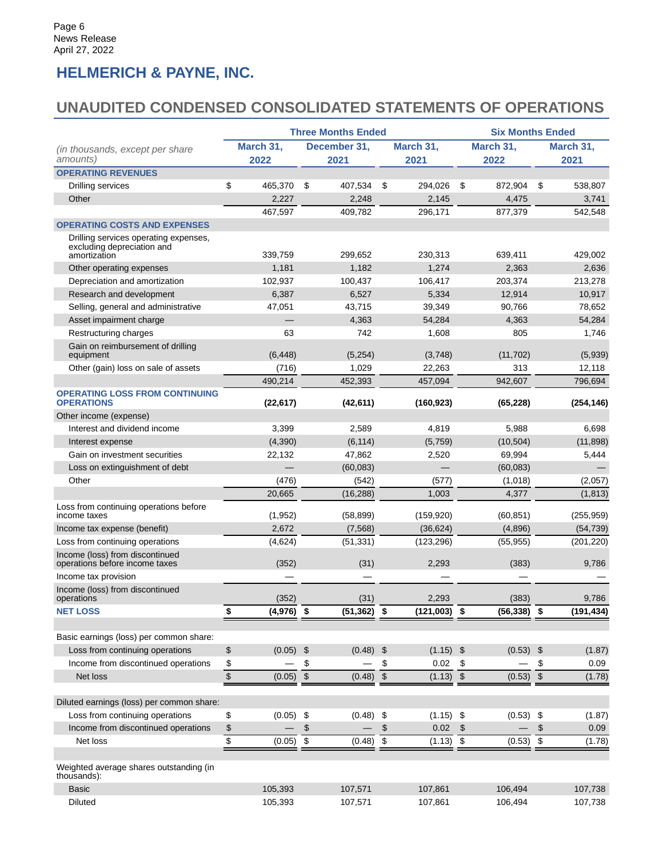# **HELMERICH & PAYNE, INC.**

## **UNAUDITED CONDENSED CONSOLIDATED STATEMENTS OF OPERATIONS**

|                                                                                     |                    | <b>Three Months Ended</b>         | <b>Six Months Ended</b>                  |                  |                                     |  |  |  |  |
|-------------------------------------------------------------------------------------|--------------------|-----------------------------------|------------------------------------------|------------------|-------------------------------------|--|--|--|--|
| (in thousands, except per share                                                     | March 31,          | December 31,                      | March 31,                                | March 31,        | March 31,                           |  |  |  |  |
| amounts)                                                                            | 2022               | 2021                              | 2021                                     | 2022             | 2021                                |  |  |  |  |
| <b>OPERATING REVENUES</b>                                                           |                    |                                   |                                          |                  |                                     |  |  |  |  |
| Drilling services                                                                   | \$<br>465,370      | \$<br>407,534                     | \$<br>294,026                            | \$<br>872,904    | \$<br>538,807                       |  |  |  |  |
| Other                                                                               | 2,227              | 2,248                             | 2,145                                    | 4,475            | 3,741                               |  |  |  |  |
|                                                                                     | 467,597            | 409,782                           | 296,171                                  | 877,379          | 542,548                             |  |  |  |  |
| <b>OPERATING COSTS AND EXPENSES</b>                                                 |                    |                                   |                                          |                  |                                     |  |  |  |  |
| Drilling services operating expenses,<br>excluding depreciation and<br>amortization |                    |                                   |                                          |                  |                                     |  |  |  |  |
| Other operating expenses                                                            | 339,759<br>1,181   | 299,652<br>1,182                  | 230,313<br>1,274                         | 639,411<br>2,363 | 429,002<br>2,636                    |  |  |  |  |
| Depreciation and amortization                                                       | 102,937            | 100,437                           | 106,417                                  | 203,374          | 213,278                             |  |  |  |  |
| Research and development                                                            | 6,387              | 6,527                             | 5,334                                    | 12,914           | 10,917                              |  |  |  |  |
| Selling, general and administrative                                                 | 47,051             | 43,715                            | 39,349                                   | 90,766           | 78,652                              |  |  |  |  |
| Asset impairment charge                                                             |                    | 4,363                             | 54,284                                   | 4,363            | 54,284                              |  |  |  |  |
|                                                                                     | 63                 | 742                               |                                          | 805              | 1,746                               |  |  |  |  |
| Restructuring charges<br>Gain on reimbursement of drilling                          |                    |                                   | 1,608                                    |                  |                                     |  |  |  |  |
| equipment                                                                           | (6, 448)           | (5,254)                           | (3,748)                                  | (11, 702)        | (5,939)                             |  |  |  |  |
| Other (gain) loss on sale of assets                                                 | (716)              | 1,029                             | 22,263                                   | 313              | 12,118                              |  |  |  |  |
|                                                                                     | 490,214            | 452,393                           | 457,094                                  | 942,607          | 796,694                             |  |  |  |  |
| <b>OPERATING LOSS FROM CONTINUING</b><br><b>OPERATIONS</b>                          | (22, 617)          | (42, 611)                         | (160, 923)                               | (65, 228)        | (254, 146)                          |  |  |  |  |
| Other income (expense)                                                              |                    |                                   |                                          |                  |                                     |  |  |  |  |
| Interest and dividend income                                                        | 3,399              | 2,589                             | 4,819                                    | 5,988            | 6,698                               |  |  |  |  |
| Interest expense                                                                    | (4,390)            | (6, 114)                          | (5,759)                                  | (10, 504)        | (11, 898)                           |  |  |  |  |
| Gain on investment securities                                                       | 22,132             | 47,862                            | 2,520                                    | 69,994           | 5,444                               |  |  |  |  |
| Loss on extinguishment of debt                                                      |                    | (60,083)                          |                                          | (60, 083)        |                                     |  |  |  |  |
| Other                                                                               | (476)              | (542)                             | (577)                                    | (1,018)          | (2,057)                             |  |  |  |  |
|                                                                                     | 20,665             | (16, 288)                         | 1,003                                    | 4,377            | (1, 813)                            |  |  |  |  |
| Loss from continuing operations before<br>income taxes                              | (1, 952)           | (58, 899)                         | (159, 920)                               | (60, 851)        | (255, 959)                          |  |  |  |  |
| Income tax expense (benefit)                                                        | 2,672              | (7, 568)                          | (36, 624)                                | (4,896)          | (54, 739)                           |  |  |  |  |
| Loss from continuing operations                                                     | (4,624)            | (51, 331)                         | (123, 296)                               | (55, 955)        | (201, 220)                          |  |  |  |  |
| Income (loss) from discontinued<br>operations before income taxes                   | (352)              | (31)                              | 2,293                                    | (383)            | 9,786                               |  |  |  |  |
| Income tax provision                                                                |                    |                                   |                                          |                  |                                     |  |  |  |  |
| Income (loss) from discontinued<br>operations                                       | (352)              | (31)                              | 2,293                                    | (383)            | 9,786                               |  |  |  |  |
| <b>NET LOSS</b>                                                                     | \$<br>$(4,976)$ \$ | (51,362)                          | \$<br>$(121,003)$ \$                     | $(56, 338)$ \$   | (191, 434)                          |  |  |  |  |
|                                                                                     |                    |                                   |                                          |                  |                                     |  |  |  |  |
| Basic earnings (loss) per common share:                                             |                    |                                   |                                          |                  |                                     |  |  |  |  |
| Loss from continuing operations                                                     | \$<br>(0.05)       | $\sqrt[6]{\frac{1}{2}}$<br>(0.48) | $(1.15)$ \$<br>$\boldsymbol{\mathsf{S}}$ | (0.53)           | \$<br>(1.87)                        |  |  |  |  |
| Income from discontinued operations                                                 | \$                 | \$                                | \$<br>0.02                               | \$               | \$<br>0.09                          |  |  |  |  |
| Net loss                                                                            | \$<br>(0.05)       | $\,$<br>(0.48)                    | $\boldsymbol{\$}$<br>$(1.13)$ \$         | (0.53)           | $\boldsymbol{\$}$<br>(1.78)         |  |  |  |  |
| Diluted earnings (loss) per common share:                                           |                    |                                   |                                          |                  |                                     |  |  |  |  |
| Loss from continuing operations                                                     | \$<br>$(0.05)$ \$  | (0.48)                            | \$<br>$(1.15)$ \$                        | $(0.53)$ \$      | (1.87)                              |  |  |  |  |
| Income from discontinued operations                                                 | \$                 | $\,$                              | \$<br>0.02                               | \$               | \$<br>0.09                          |  |  |  |  |
| Net loss                                                                            | \$<br>(0.05)       | $\boldsymbol{\$}$<br>(0.48)       | \$<br>$(1.13)$ \$                        | (0.53)           | $\boldsymbol{\mathsf{S}}$<br>(1.78) |  |  |  |  |
|                                                                                     |                    |                                   |                                          |                  |                                     |  |  |  |  |
| Weighted average shares outstanding (in<br>thousands):                              |                    |                                   |                                          |                  |                                     |  |  |  |  |
| <b>Basic</b>                                                                        | 105,393            | 107,571                           | 107,861                                  | 106,494          | 107,738                             |  |  |  |  |
| Diluted                                                                             | 105,393            | 107,571                           | 107,861                                  | 106,494          | 107,738                             |  |  |  |  |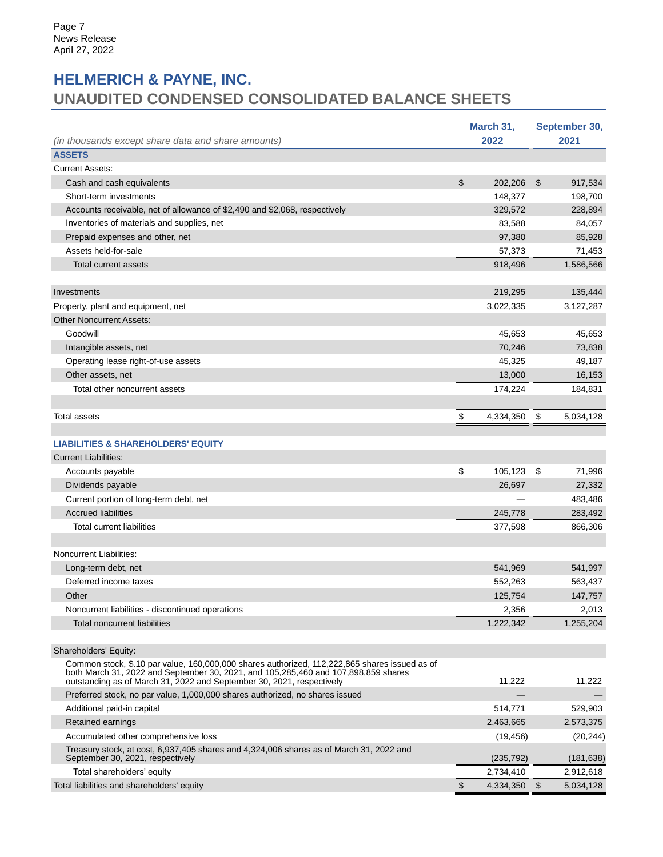# **HELMERICH & PAYNE, INC. UNAUDITED CONDENSED CONSOLIDATED BALANCE SHEETS**

| (in thousands except share data and share amounts)                                                                                                                                      | March 31,<br>2022 |     | September 30,<br>2021 |
|-----------------------------------------------------------------------------------------------------------------------------------------------------------------------------------------|-------------------|-----|-----------------------|
| <b>ASSETS</b>                                                                                                                                                                           |                   |     |                       |
| <b>Current Assets:</b>                                                                                                                                                                  |                   |     |                       |
| Cash and cash equivalents                                                                                                                                                               | \$<br>202,206     | \$  | 917,534               |
| Short-term investments                                                                                                                                                                  | 148,377           |     | 198,700               |
| Accounts receivable, net of allowance of \$2,490 and \$2,068, respectively                                                                                                              | 329,572           |     | 228,894               |
| Inventories of materials and supplies, net                                                                                                                                              | 83,588            |     | 84,057                |
| Prepaid expenses and other, net                                                                                                                                                         | 97,380            |     | 85,928                |
| Assets held-for-sale                                                                                                                                                                    | 57,373            |     | 71,453                |
| <b>Total current assets</b>                                                                                                                                                             | 918,496           |     | 1,586,566             |
|                                                                                                                                                                                         |                   |     |                       |
| Investments                                                                                                                                                                             | 219,295           |     | 135,444               |
| Property, plant and equipment, net                                                                                                                                                      | 3,022,335         |     | 3,127,287             |
| <b>Other Noncurrent Assets:</b>                                                                                                                                                         |                   |     |                       |
| Goodwill                                                                                                                                                                                | 45,653            |     | 45,653                |
| Intangible assets, net                                                                                                                                                                  | 70,246            |     | 73,838                |
| Operating lease right-of-use assets                                                                                                                                                     | 45,325            |     | 49,187                |
| Other assets, net                                                                                                                                                                       | 13,000            |     | 16,153                |
| Total other noncurrent assets                                                                                                                                                           | 174,224           |     | 184,831               |
|                                                                                                                                                                                         |                   |     |                       |
| <b>Total assets</b>                                                                                                                                                                     | \$<br>4,334,350   | -\$ | 5,034,128             |
|                                                                                                                                                                                         |                   |     |                       |
| <b>LIABILITIES &amp; SHAREHOLDERS' EQUITY</b>                                                                                                                                           |                   |     |                       |
| <b>Current Liabilities:</b>                                                                                                                                                             |                   |     |                       |
| Accounts payable                                                                                                                                                                        | \$<br>105,123     | \$  | 71,996                |
| Dividends payable                                                                                                                                                                       | 26,697            |     | 27,332                |
| Current portion of long-term debt, net                                                                                                                                                  |                   |     | 483,486               |
| <b>Accrued liabilities</b>                                                                                                                                                              | 245,778           |     | 283,492               |
| Total current liabilities                                                                                                                                                               | 377,598           |     | 866,306               |
|                                                                                                                                                                                         |                   |     |                       |
| Noncurrent Liabilities:                                                                                                                                                                 |                   |     |                       |
| Long-term debt, net                                                                                                                                                                     | 541,969           |     | 541,997               |
| Deferred income taxes                                                                                                                                                                   | 552,263           |     | 563,437               |
| Other                                                                                                                                                                                   | 125,754           |     | 147,757               |
| Noncurrent liabilities - discontinued operations                                                                                                                                        | 2,356             |     | 2,013                 |
| <b>Total noncurrent liabilities</b>                                                                                                                                                     | 1,222,342         |     | 1,255,204             |
|                                                                                                                                                                                         |                   |     |                       |
| Shareholders' Equity:                                                                                                                                                                   |                   |     |                       |
| Common stock, \$.10 par value, 160,000,000 shares authorized, 112,222,865 shares issued as of<br>both March 31, 2022 and September 30, 2021, and 105, 285, 460 and 107, 898, 859 shares |                   |     |                       |
| outstanding as of March 31, 2022 and September 30, 2021, respectively                                                                                                                   | 11,222            |     | 11,222                |
| Preferred stock, no par value, 1,000,000 shares authorized, no shares issued                                                                                                            |                   |     |                       |
| Additional paid-in capital                                                                                                                                                              | 514,771           |     | 529,903               |
| Retained earnings                                                                                                                                                                       | 2,463,665         |     | 2,573,375             |
| Accumulated other comprehensive loss                                                                                                                                                    | (19, 456)         |     | (20, 244)             |
| Treasury stock, at cost, 6,937,405 shares and 4,324,006 shares as of March 31, 2022 and<br>September 30, 2021, respectively                                                             | (235, 792)        |     | (181, 638)            |
| Total shareholders' equity                                                                                                                                                              | 2,734,410         |     | 2,912,618             |
| Total liabilities and shareholders' equity                                                                                                                                              | \$<br>4,334,350   | \$  | 5,034,128             |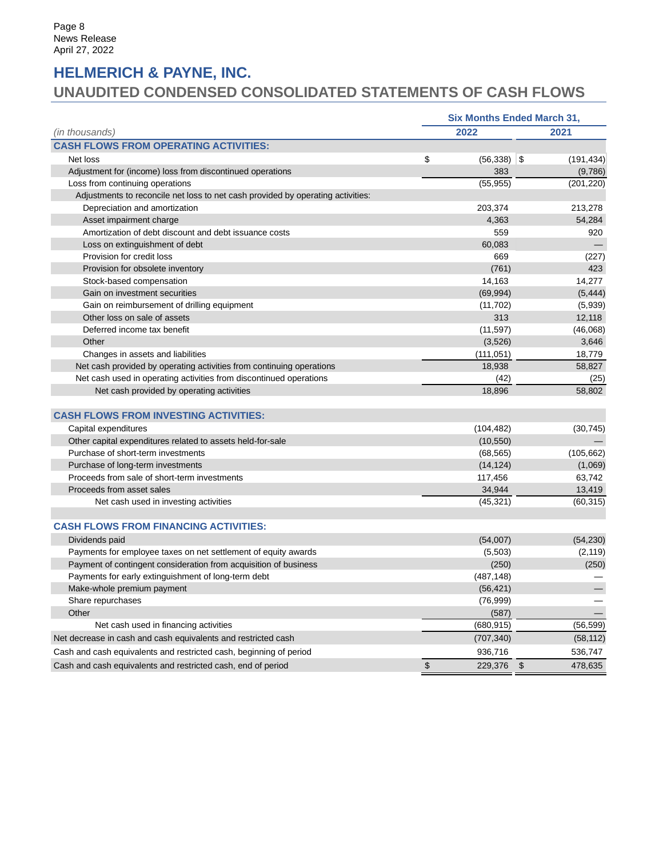# **HELMERICH & PAYNE, INC.**

# **UNAUDITED CONDENSED CONSOLIDATED STATEMENTS OF CASH FLOWS**

|                                                                                 | <b>Six Months Ended March 31,</b> |                |            |
|---------------------------------------------------------------------------------|-----------------------------------|----------------|------------|
| (in thousands)                                                                  | 2022                              |                | 2021       |
| <b>CASH FLOWS FROM OPERATING ACTIVITIES:</b>                                    |                                   |                |            |
| Net loss                                                                        | \$<br>(56, 338)                   | \$             | (191, 434) |
| Adjustment for (income) loss from discontinued operations                       | 383                               |                | (9,786)    |
| Loss from continuing operations                                                 | (55, 955)                         |                | (201, 220) |
| Adjustments to reconcile net loss to net cash provided by operating activities: |                                   |                |            |
| Depreciation and amortization                                                   | 203,374                           |                | 213,278    |
| Asset impairment charge                                                         | 4,363                             |                | 54,284     |
| Amortization of debt discount and debt issuance costs                           | 559                               |                | 920        |
| Loss on extinguishment of debt                                                  | 60,083                            |                |            |
| Provision for credit loss                                                       | 669                               |                | (227)      |
| Provision for obsolete inventory                                                | (761)                             |                | 423        |
| Stock-based compensation                                                        | 14,163                            |                | 14,277     |
| Gain on investment securities                                                   | (69, 994)                         |                | (5, 444)   |
| Gain on reimbursement of drilling equipment                                     | (11, 702)                         |                | (5,939)    |
| Other loss on sale of assets                                                    | 313                               |                | 12,118     |
| Deferred income tax benefit                                                     | (11, 597)                         |                | (46,068)   |
| Other                                                                           | (3,526)                           |                | 3,646      |
| Changes in assets and liabilities                                               | (111, 051)                        |                | 18,779     |
| Net cash provided by operating activities from continuing operations            | 18,938                            |                | 58,827     |
| Net cash used in operating activities from discontinued operations              | (42)                              |                | (25)       |
| Net cash provided by operating activities                                       | 18,896                            |                | 58,802     |
| <b>CASH FLOWS FROM INVESTING ACTIVITIES:</b>                                    |                                   |                |            |
| Capital expenditures                                                            | (104, 482)                        |                | (30, 745)  |
| Other capital expenditures related to assets held-for-sale                      | (10, 550)                         |                |            |
| Purchase of short-term investments                                              | (68, 565)                         |                | (105, 662) |
| Purchase of long-term investments                                               | (14, 124)                         |                | (1,069)    |
| Proceeds from sale of short-term investments                                    | 117,456                           |                | 63,742     |
| Proceeds from asset sales                                                       | 34,944                            |                | 13,419     |
| Net cash used in investing activities                                           | (45, 321)                         |                | (60, 315)  |
|                                                                                 |                                   |                |            |
| <b>CASH FLOWS FROM FINANCING ACTIVITIES:</b>                                    |                                   |                |            |
| Dividends paid                                                                  | (54,007)                          |                | (54, 230)  |
| Payments for employee taxes on net settlement of equity awards                  | (5,503)                           |                | (2, 119)   |
| Payment of contingent consideration from acquisition of business                | (250)                             |                | (250)      |
| Payments for early extinguishment of long-term debt                             | (487, 148)                        |                |            |
| Make-whole premium payment                                                      | (56, 421)                         |                |            |
| Share repurchases                                                               | (76, 999)                         |                |            |
| Other                                                                           | (587)                             |                |            |
| Net cash used in financing activities                                           | (680, 915)                        |                | (56, 599)  |
| Net decrease in cash and cash equivalents and restricted cash                   | (707, 340)                        |                | (58, 112)  |
| Cash and cash equivalents and restricted cash, beginning of period              | 936,716                           |                | 536,747    |
| Cash and cash equivalents and restricted cash, end of period                    | \$<br>229,376                     | $\mathfrak{s}$ | 478,635    |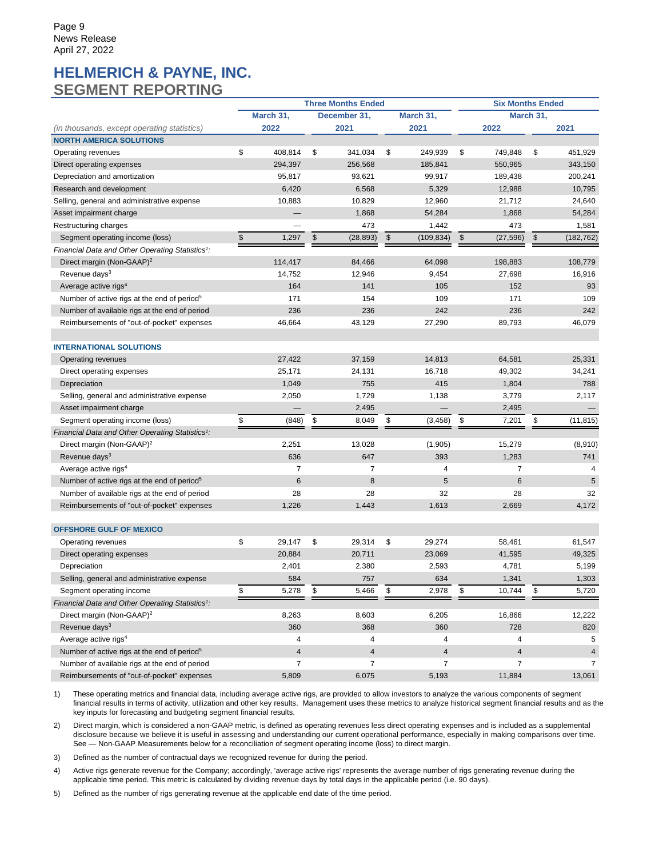## **HELMERICH & PAYNE, INC. SEGMENT REPORTING**

|                                                              |               |                 | <b>Three Months Ended</b> |                  |               | <b>Six Months Ended</b> |           |            |  |  |  |  |
|--------------------------------------------------------------|---------------|-----------------|---------------------------|------------------|---------------|-------------------------|-----------|------------|--|--|--|--|
|                                                              |               | March 31,       | December 31,              | March 31,        |               |                         | March 31, |            |  |  |  |  |
| (in thousands, except operating statistics)                  |               | 2022            | 2021                      | 2021             |               | 2022                    |           | 2021       |  |  |  |  |
| <b>NORTH AMERICA SOLUTIONS</b>                               |               |                 |                           |                  |               |                         |           |            |  |  |  |  |
| Operating revenues                                           | \$            | 408,814         | \$<br>341,034             | \$<br>249,939    | \$            | 749,848                 | \$        | 451,929    |  |  |  |  |
| Direct operating expenses                                    |               | 294,397         | 256,568                   | 185,841          |               | 550.965                 |           | 343,150    |  |  |  |  |
| Depreciation and amortization                                |               | 95,817          | 93,621                    | 99,917           |               | 189,438                 |           | 200,241    |  |  |  |  |
| Research and development                                     |               | 6,420           | 6,568                     | 5,329            |               | 12,988                  |           | 10,795     |  |  |  |  |
| Selling, general and administrative expense                  |               | 10,883          | 10,829                    | 12,960           |               | 21,712                  |           | 24,640     |  |  |  |  |
| Asset impairment charge                                      |               | —               | 1,868                     | 54,284           |               | 1,868                   |           | 54,284     |  |  |  |  |
| Restructuring charges                                        |               |                 | 473                       | 1,442            |               | 473                     |           | 1,581      |  |  |  |  |
| Segment operating income (loss)                              | $\mathfrak s$ | 1,297           | \$<br>(28, 893)           | \$<br>(109, 834) | $\frac{1}{2}$ | (27, 596)               | $\,$      | (182, 762) |  |  |  |  |
| Financial Data and Other Operating Statistics <sup>1</sup> : |               |                 |                           |                  |               |                         |           |            |  |  |  |  |
| Direct margin (Non-GAAP) <sup>2</sup>                        |               | 114,417         | 84,466                    | 64,098           |               | 198,883                 |           | 108,779    |  |  |  |  |
| Revenue days <sup>3</sup>                                    |               | 14,752          | 12,946                    | 9,454            |               | 27,698                  |           | 16,916     |  |  |  |  |
| Average active rigs <sup>4</sup>                             |               | 164             | 141                       | 105              |               | 152                     |           | 93         |  |  |  |  |
| Number of active rigs at the end of period <sup>5</sup>      |               | 171             | 154                       | 109              |               | 171                     |           | 109        |  |  |  |  |
| Number of available rigs at the end of period                |               | 236             | 236                       | 242              |               | 236                     |           | 242        |  |  |  |  |
| Reimbursements of "out-of-pocket" expenses                   |               | 46,664          | 43,129                    | 27,290           |               | 89,793                  |           | 46,079     |  |  |  |  |
|                                                              |               |                 |                           |                  |               |                         |           |            |  |  |  |  |
| <b>INTERNATIONAL SOLUTIONS</b>                               |               |                 |                           |                  |               |                         |           |            |  |  |  |  |
| Operating revenues                                           |               | 27,422          | 37,159                    | 14,813           |               | 64,581                  |           | 25.331     |  |  |  |  |
| Direct operating expenses                                    |               | 25,171          | 24,131                    | 16,718           |               | 49,302                  |           | 34,241     |  |  |  |  |
| Depreciation                                                 |               | 1,049           | 755                       | 415              |               | 1,804                   |           | 788        |  |  |  |  |
| Selling, general and administrative expense                  |               | 2,050           | 1,729                     | 1,138            |               | 3,779                   |           | 2,117      |  |  |  |  |
| Asset impairment charge                                      |               |                 | 2,495                     |                  |               | 2,495                   |           |            |  |  |  |  |
| Segment operating income (loss)                              | \$            | (848)           | \$<br>8,049               | \$<br>(3, 458)   | \$            | 7,201                   | \$        | (11, 815)  |  |  |  |  |
| Financial Data and Other Operating Statistics <sup>1</sup> : |               |                 |                           |                  |               |                         |           |            |  |  |  |  |
| Direct margin (Non-GAAP) <sup>2</sup>                        |               | 2,251           | 13,028                    | (1,905)          |               | 15,279                  |           | (8,910)    |  |  |  |  |
| Revenue days <sup>3</sup>                                    |               | 636             | 647                       | 393              |               | 1,283                   |           | 741        |  |  |  |  |
| Average active rigs <sup>4</sup>                             |               | $\overline{7}$  | 7                         | 4                |               | 7                       |           | 4          |  |  |  |  |
| Number of active rigs at the end of period <sup>5</sup>      |               | $6\phantom{1}6$ | 8                         | 5                |               | 6                       |           | 5          |  |  |  |  |
| Number of available rigs at the end of period                |               | 28              | 28                        | 32               |               | 28                      |           | 32         |  |  |  |  |
| Reimbursements of "out-of-pocket" expenses                   |               | 1,226           | 1,443                     | 1,613            |               | 2,669                   |           | 4,172      |  |  |  |  |
|                                                              |               |                 |                           |                  |               |                         |           |            |  |  |  |  |
| <b>OFFSHORE GULF OF MEXICO</b>                               |               |                 |                           |                  |               |                         |           |            |  |  |  |  |
| Operating revenues                                           | \$            | 29,147          | \$<br>29,314              | \$<br>29,274     |               | 58,461                  |           | 61,547     |  |  |  |  |
| Direct operating expenses                                    |               | 20,884          | 20,711                    | 23,069           |               | 41,595                  |           | 49,325     |  |  |  |  |
| Depreciation                                                 |               | 2,401           | 2,380                     | 2,593            |               | 4,781                   |           | 5,199      |  |  |  |  |
| Selling, general and administrative expense                  |               | 584             | 757                       | 634              |               | 1,341                   |           | 1,303      |  |  |  |  |
| Segment operating income                                     | \$            | 5,278           | \$<br>5,466               | \$<br>2,978      | \$            | 10,744                  | \$        | 5,720      |  |  |  |  |
| Financial Data and Other Operating Statistics <sup>1</sup> : |               |                 |                           |                  |               |                         |           |            |  |  |  |  |
| Direct margin (Non-GAAP) <sup>2</sup>                        |               | 8,263           | 8,603                     | 6,205            |               | 16,866                  |           | 12,222     |  |  |  |  |
| Revenue days <sup>3</sup>                                    |               | 360             | 368                       | 360              |               | 728                     |           | 820        |  |  |  |  |
| Average active rigs <sup>4</sup>                             |               | 4               | 4                         | 4                |               | 4                       |           | 5          |  |  |  |  |
| Number of active rigs at the end of period <sup>5</sup>      |               | $\overline{4}$  | $\overline{4}$            | $\overline{4}$   |               | 4                       |           | 4          |  |  |  |  |
| Number of available rigs at the end of period                |               | $\overline{7}$  | $\overline{7}$            | $\overline{7}$   |               | 7                       |           | 7          |  |  |  |  |
| Reimbursements of "out-of-pocket" expenses                   |               | 5,809           | 6,075                     | 5,193            |               | 11,884                  |           | 13,061     |  |  |  |  |
|                                                              |               |                 |                           |                  |               |                         |           |            |  |  |  |  |

1) These operating metrics and financial data, including average active rigs, are provided to allow investors to analyze the various components of segment financial results in terms of activity, utilization and other key results. Management uses these metrics to analyze historical segment financial results and as the key inputs for forecasting and budgeting segment financial results.

2) Direct margin, which is considered a non-GAAP metric, is defined as operating revenues less direct operating expenses and is included as a supplemental disclosure because we believe it is useful in assessing and understanding our current operational performance, especially in making comparisons over time. See — Non-GAAP Measurements below for a reconciliation of segment operating income (loss) to direct margin.

3) Defined as the number of contractual days we recognized revenue for during the period.

4) Active rigs generate revenue for the Company; accordingly, 'average active rigs' represents the average number of rigs generating revenue during the applicable time period. This metric is calculated by dividing revenue days by total days in the applicable period (i.e. 90 days).

5) Defined as the number of rigs generating revenue at the applicable end date of the time period.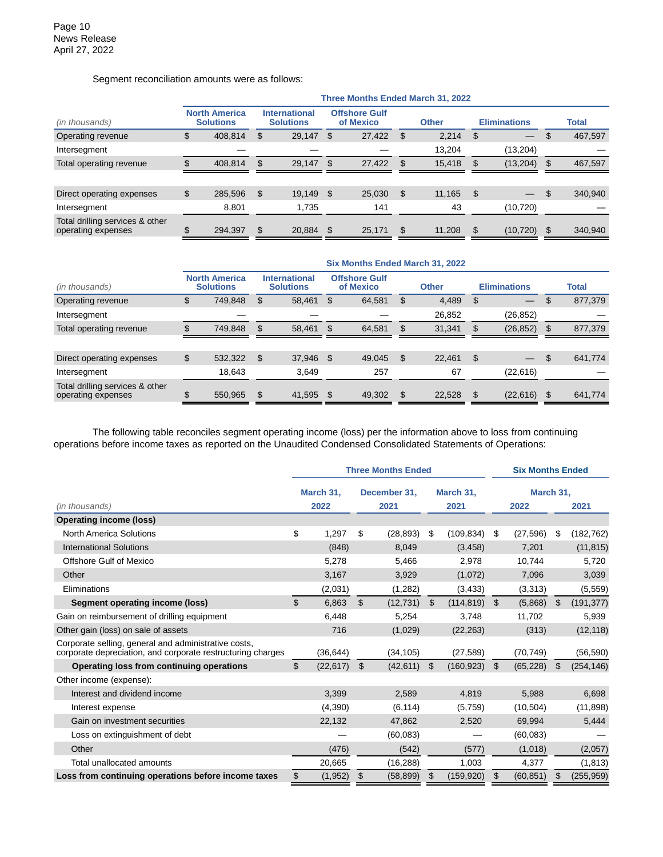Segment reconciliation amounts were as follows:

|               |                                          |       |                                          |                                               | <b>Other</b>                      |        |     |                                   |    |         |  |  |  |  |  |  |  |  |  |  |  |  |  |  | <b>Eliminations</b> |  |  |  |  | <b>Total</b> |
|---------------|------------------------------------------|-------|------------------------------------------|-----------------------------------------------|-----------------------------------|--------|-----|-----------------------------------|----|---------|--|--|--|--|--|--|--|--|--|--|--|--|--|--|---------------------|--|--|--|--|--------------|
| \$<br>408,814 | \$                                       |       | \$                                       | 27,422                                        | - \$                              | 2.214  | \$  |                                   | \$ | 467,597 |  |  |  |  |  |  |  |  |  |  |  |  |  |  |                     |  |  |  |  |              |
|               |                                          |       |                                          |                                               |                                   | 13.204 |     | (13,204)                          |    |         |  |  |  |  |  |  |  |  |  |  |  |  |  |  |                     |  |  |  |  |              |
| 408.814       | S                                        |       |                                          | 27,422                                        |                                   | 15,418 |     | (13,204)                          | S  | 467,597 |  |  |  |  |  |  |  |  |  |  |  |  |  |  |                     |  |  |  |  |              |
|               |                                          |       |                                          |                                               |                                   |        |     |                                   |    |         |  |  |  |  |  |  |  |  |  |  |  |  |  |  |                     |  |  |  |  |              |
| \$<br>285,596 | S                                        |       |                                          | 25,030                                        |                                   | 11,165 | -S  |                                   | \$ | 340,940 |  |  |  |  |  |  |  |  |  |  |  |  |  |  |                     |  |  |  |  |              |
| 8,801         |                                          | 1,735 |                                          | 141                                           |                                   | 43     |     | (10, 720)                         |    |         |  |  |  |  |  |  |  |  |  |  |  |  |  |  |                     |  |  |  |  |              |
| 294,397       | £.                                       |       |                                          | 25,171                                        | \$                                | 11,208 | -\$ | (10, 720)                         | \$ | 340,940 |  |  |  |  |  |  |  |  |  |  |  |  |  |  |                     |  |  |  |  |              |
|               | <b>North America</b><br><b>Solutions</b> |       | <b>International</b><br><b>Solutions</b> | 29,147<br>29.147 \$<br>19,149 \$<br>20.884 \$ | <b>Offshore Gulf</b><br>of Mexico |        |     | Three Months Ended March 31, 2022 |    |         |  |  |  |  |  |  |  |  |  |  |  |  |  |  |                     |  |  |  |  |              |

|                                                       |                                          |     |                                          |      |                                   |     | Six Months Ended March 31, 2022 |     |                     |     |              |
|-------------------------------------------------------|------------------------------------------|-----|------------------------------------------|------|-----------------------------------|-----|---------------------------------|-----|---------------------|-----|--------------|
| (in thousands)                                        | <b>North America</b><br><b>Solutions</b> |     | <b>International</b><br><b>Solutions</b> |      | <b>Offshore Gulf</b><br>of Mexico |     | <b>Other</b>                    |     | <b>Eliminations</b> |     | <b>Total</b> |
| Operating revenue                                     | \$<br>749,848                            | \$. | 58,461                                   | S    | 64,581                            | \$. | 4,489                           | -\$ |                     | S   | 877,379      |
| Intersegment                                          |                                          |     |                                          |      |                                   |     | 26,852                          |     | (26, 852)           |     |              |
| Total operating revenue                               | 749.848                                  |     | 58.461                                   | - \$ | 64.581                            |     | 31.341                          |     | (26, 852)           | \$. | 877,379      |
|                                                       |                                          |     |                                          |      |                                   |     |                                 |     |                     |     |              |
| Direct operating expenses                             | \$<br>532,322                            | \$  | 37,946 \$                                |      | 49.045                            | \$. | 22.461                          | -\$ |                     | \$  | 641,774      |
| Intersegment                                          | 18,643                                   |     | 3.649                                    |      | 257                               |     | 67                              |     | (22, 616)           |     |              |
| Total drilling services & other<br>operating expenses | 550.965                                  |     | 41,595 \$                                |      | 49,302                            |     | 22.528                          |     | (22, 616)           |     | 641,774      |

The following table reconciles segment operating income (loss) per the information above to loss from continuing operations before income taxes as reported on the Unaudited Condensed Consolidated Statements of Operations:

|                                                                                                                     | <b>Three Months Ended</b> |    |              |    |            |    | <b>Six Months Ended</b> |    |            |  |  |
|---------------------------------------------------------------------------------------------------------------------|---------------------------|----|--------------|----|------------|----|-------------------------|----|------------|--|--|
|                                                                                                                     | March 31,                 |    | December 31, |    | March 31,  |    | March 31,               |    |            |  |  |
| (in thousands)                                                                                                      | 2022                      |    | 2021         |    | 2021       |    | 2022                    |    | 2021       |  |  |
| <b>Operating income (loss)</b>                                                                                      |                           |    |              |    |            |    |                         |    |            |  |  |
| <b>North America Solutions</b>                                                                                      | \$<br>1,297               | \$ | (28, 893)    | \$ | (109, 834) | \$ | (27, 596)               | \$ | (182, 762) |  |  |
| <b>International Solutions</b>                                                                                      | (848)                     |    | 8,049        |    | (3, 458)   |    | 7,201                   |    | (11, 815)  |  |  |
| <b>Offshore Gulf of Mexico</b>                                                                                      | 5,278                     |    | 5,466        |    | 2,978      |    | 10.744                  |    | 5,720      |  |  |
| Other                                                                                                               | 3,167                     |    | 3,929        |    | (1,072)    |    | 7,096                   |    | 3,039      |  |  |
| Eliminations                                                                                                        | (2,031)                   |    | (1,282)      |    | (3, 433)   |    | (3,313)                 |    | (5,559)    |  |  |
| Segment operating income (loss)                                                                                     | \$<br>6,863               | \$ | (12, 731)    | \$ | (114, 819) | \$ | (5,868)                 | \$ | (191, 377) |  |  |
| Gain on reimbursement of drilling equipment                                                                         | 6,448                     |    | 5,254        |    | 3,748      |    | 11,702                  |    | 5,939      |  |  |
| Other gain (loss) on sale of assets                                                                                 | 716                       |    | (1,029)      |    | (22, 263)  |    | (313)                   |    | (12, 118)  |  |  |
| Corporate selling, general and administrative costs,<br>corporate depreciation, and corporate restructuring charges | (36, 644)                 |    | (34, 105)    |    | (27, 589)  |    | (70, 749)               |    | (56, 590)  |  |  |
| Operating loss from continuing operations                                                                           | \$<br>(22, 617)           | \$ | (42, 611)    | \$ | (160, 923) | \$ | (65, 228)               | \$ | (254, 146) |  |  |
| Other income (expense):                                                                                             |                           |    |              |    |            |    |                         |    |            |  |  |
| Interest and dividend income                                                                                        | 3.399                     |    | 2,589        |    | 4,819      |    | 5,988                   |    | 6,698      |  |  |
| Interest expense                                                                                                    | (4,390)                   |    | (6, 114)     |    | (5,759)    |    | (10, 504)               |    | (11, 898)  |  |  |
| Gain on investment securities                                                                                       | 22,132                    |    | 47,862       |    | 2,520      |    | 69,994                  |    | 5,444      |  |  |
| Loss on extinguishment of debt                                                                                      |                           |    | (60, 083)    |    |            |    | (60,083)                |    |            |  |  |
| Other                                                                                                               | (476)                     |    | (542)        |    | (577)      |    | (1,018)                 |    | (2,057)    |  |  |
| Total unallocated amounts                                                                                           | 20,665                    |    | (16, 288)    |    | 1,003      |    | 4,377                   |    | (1, 813)   |  |  |
| Loss from continuing operations before income taxes                                                                 | \$<br>(1, 952)            | \$ | (58, 899)    | \$ | (159, 920) | \$ | (60, 851)               | \$ | (255, 959) |  |  |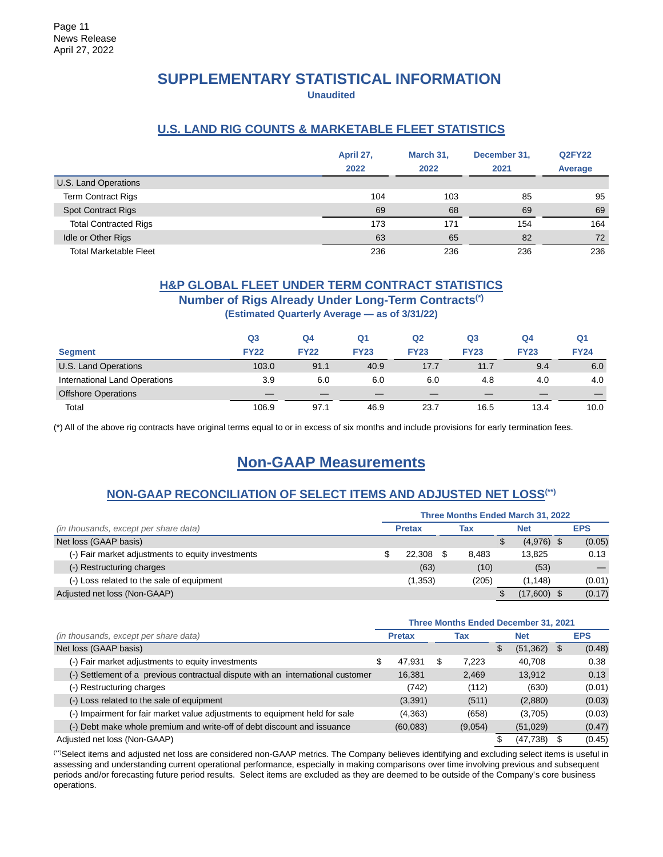# **SUPPLEMENTARY STATISTICAL INFORMATION**

**Unaudited**

## **U.S. LAND RIG COUNTS & MARKETABLE FLEET STATISTICS**

|                               | April 27,<br>2022 | March 31,<br>2022 | December 31,<br>2021 | <b>Q2FY22</b><br>Average |
|-------------------------------|-------------------|-------------------|----------------------|--------------------------|
| U.S. Land Operations          |                   |                   |                      |                          |
| <b>Term Contract Rigs</b>     | 104               | 103               | 85                   | 95                       |
| <b>Spot Contract Rigs</b>     | 69                | 68                | 69                   | 69                       |
| <b>Total Contracted Rigs</b>  | 173               | 171               | 154                  | 164                      |
| Idle or Other Rigs            | 63                | 65                | 82                   | 72                       |
| <b>Total Marketable Fleet</b> | 236               | 236               | 236                  | 236                      |

## **H&P GLOBAL FLEET UNDER TERM CONTRACT STATISTICS**

### **Number of Rigs Already Under Long-Term Contracts(\*)**

**(Estimated Quarterly Average — as of 3/31/22)**

|                               | Q <sub>3</sub> | Q4          | Q1          | Q2          | Q <sub>3</sub> | Q4          | Q1          |
|-------------------------------|----------------|-------------|-------------|-------------|----------------|-------------|-------------|
| <b>Segment</b>                | <b>FY22</b>    | <b>FY22</b> | <b>FY23</b> | <b>FY23</b> | <b>FY23</b>    | <b>FY23</b> | <b>FY24</b> |
| U.S. Land Operations          | 103.0          | 91.1        | 40.9        | 17.7        | 11.7           | 9.4         | 6.0         |
| International Land Operations | 3.9            | 6.0         | 6.0         | 6.0         | 4.8            | 4.0         | 4.0         |
| <b>Offshore Operations</b>    |                |             |             |             |                |             |             |
| Total                         | 106.9          | 97.1        | 46.9        | 23.7        | 16.5           | 13.4        | 10.0        |

(\*) All of the above rig contracts have original terms equal to or in excess of six months and include provisions for early termination fees.

# **Non-GAAP Measurements**

## **NON-GAAP RECONCILIATION OF SELECT ITEMS AND ADJUSTED NET LOSS(\*\*)**

|                                                   |               |       | Three Months Ended March 31, 2022 |            |
|---------------------------------------------------|---------------|-------|-----------------------------------|------------|
| (in thousands, except per share data)             | <b>Pretax</b> | Tax   | <b>Net</b>                        | <b>EPS</b> |
| Net loss (GAAP basis)                             |               |       | \$<br>$(4,976)$ \$                | (0.05)     |
| (-) Fair market adjustments to equity investments | 22.308        | 8.483 | 13.825                            | 0.13       |
| (-) Restructuring charges                         | (63)          | (10)  | (53)                              |            |
| (-) Loss related to the sale of equipment         | (1, 353)      | (205) | (1.148)                           | (0.01)     |
| Adjusted net loss (Non-GAAP)                      |               |       | $(17,600)$ \$                     | (0.17)     |

|                                                                                 |   |               |     |         | <b>Three Months Ended December 31, 2021</b> |              |
|---------------------------------------------------------------------------------|---|---------------|-----|---------|---------------------------------------------|--------------|
| (in thousands, except per share data)                                           |   | <b>Pretax</b> |     | Tax     | <b>Net</b>                                  | <b>EPS</b>   |
| Net loss (GAAP basis)                                                           |   |               |     |         | \$<br>(51, 362)                             | \$<br>(0.48) |
| (-) Fair market adjustments to equity investments                               | S | 47.931        | \$. | 7.223   | 40.708                                      | 0.38         |
| (-) Settlement of a previous contractual dispute with an international customer |   | 16.381        |     | 2.469   | 13.912                                      | 0.13         |
| (-) Restructuring charges                                                       |   | (742)         |     | (112)   | (630)                                       | (0.01)       |
| (-) Loss related to the sale of equipment                                       |   | (3,391)       |     | (511)   | (2,880)                                     | (0.03)       |
| (-) Impairment for fair market value adjustments to equipment held for sale     |   | (4,363)       |     | (658)   | (3,705)                                     | (0.03)       |
| (-) Debt make whole premium and write-off of debt discount and issuance         |   | (60,083)      |     | (9,054) | (51,029)                                    | (0.47)       |
| Adjusted net loss (Non-GAAP)                                                    |   |               |     |         | (47, 738)                                   | (0.45)       |

(\*\*)Select items and adjusted net loss are considered non-GAAP metrics. The Company believes identifying and excluding select items is useful in assessing and understanding current operational performance, especially in making comparisons over time involving previous and subsequent periods and/or forecasting future period results. Select items are excluded as they are deemed to be outside of the Company's core business operations.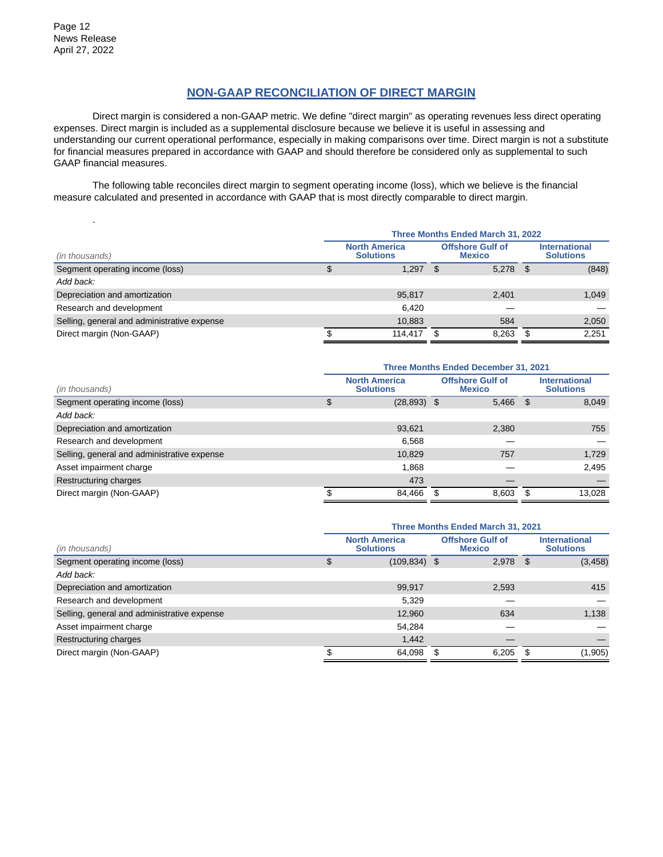.

## **NON-GAAP RECONCILIATION OF DIRECT MARGIN**

Direct margin is considered a non-GAAP metric. We define "direct margin" as operating revenues less direct operating expenses. Direct margin is included as a supplemental disclosure because we believe it is useful in assessing and understanding our current operational performance, especially in making comparisons over time. Direct margin is not a substitute for financial measures prepared in accordance with GAAP and should therefore be considered only as supplemental to such GAAP financial measures.

The following table reconciles direct margin to segment operating income (loss), which we believe is the financial measure calculated and presented in accordance with GAAP that is most directly comparable to direct margin.

|                                             | Three Months Ended March 31, 2022 |                                          |     |                                          |      |                                          |  |  |  |  |  |  |
|---------------------------------------------|-----------------------------------|------------------------------------------|-----|------------------------------------------|------|------------------------------------------|--|--|--|--|--|--|
| (in thousands)                              |                                   | <b>North America</b><br><b>Solutions</b> |     | <b>Offshore Gulf of</b><br><b>Mexico</b> |      | <b>International</b><br><b>Solutions</b> |  |  |  |  |  |  |
| Segment operating income (loss)             |                                   | 1.297                                    | -SS | 5,278                                    | - \$ | (848)                                    |  |  |  |  |  |  |
| Add back:                                   |                                   |                                          |     |                                          |      |                                          |  |  |  |  |  |  |
| Depreciation and amortization               |                                   | 95,817                                   |     | 2.401                                    |      | 1,049                                    |  |  |  |  |  |  |
| Research and development                    |                                   | 6.420                                    |     |                                          |      |                                          |  |  |  |  |  |  |
| Selling, general and administrative expense |                                   | 10,883                                   |     | 584                                      |      | 2,050                                    |  |  |  |  |  |  |
| Direct margin (Non-GAAP)                    |                                   | 114.417                                  |     | 8.263                                    |      | 2.251                                    |  |  |  |  |  |  |

|                                             | <b>Three Months Ended December 31, 2021</b> |                                          |                                          |       |                                          |        |
|---------------------------------------------|---------------------------------------------|------------------------------------------|------------------------------------------|-------|------------------------------------------|--------|
| (in thousands)                              |                                             | <b>North America</b><br><b>Solutions</b> | <b>Offshore Gulf of</b><br><b>Mexico</b> |       | <b>International</b><br><b>Solutions</b> |        |
| Segment operating income (loss)             | Φ                                           | $(28, 893)$ \$                           |                                          | 5,466 | - \$                                     | 8,049  |
| Add back:                                   |                                             |                                          |                                          |       |                                          |        |
| Depreciation and amortization               |                                             | 93,621                                   |                                          | 2,380 |                                          | 755    |
| Research and development                    |                                             | 6,568                                    |                                          |       |                                          |        |
| Selling, general and administrative expense |                                             | 10,829                                   |                                          | 757   |                                          | 1,729  |
| Asset impairment charge                     |                                             | 1.868                                    |                                          |       |                                          | 2,495  |
| Restructuring charges                       |                                             | 473                                      |                                          |       |                                          |        |
| Direct margin (Non-GAAP)                    |                                             | 84,466                                   | S                                        | 8.603 | - \$                                     | 13,028 |

|                                             | <b>Three Months Ended March 31, 2021</b> |   |                                          |      |                                          |  |
|---------------------------------------------|------------------------------------------|---|------------------------------------------|------|------------------------------------------|--|
| (in thousands)                              | <b>North America</b><br><b>Solutions</b> |   | <b>Offshore Gulf of</b><br><b>Mexico</b> |      | <b>International</b><br><b>Solutions</b> |  |
| Segment operating income (loss)             | $(109, 834)$ \$                          |   | $2,978$ \$                               |      | (3, 458)                                 |  |
| Add back:                                   |                                          |   |                                          |      |                                          |  |
| Depreciation and amortization               | 99,917                                   |   | 2,593                                    |      | 415                                      |  |
| Research and development                    | 5,329                                    |   |                                          |      |                                          |  |
| Selling, general and administrative expense | 12,960                                   |   | 634                                      |      | 1,138                                    |  |
| Asset impairment charge                     | 54,284                                   |   |                                          |      |                                          |  |
| Restructuring charges                       | 1,442                                    |   |                                          |      |                                          |  |
| Direct margin (Non-GAAP)                    | 64,098                                   | S | 6,205                                    | - \$ | (1,905)                                  |  |